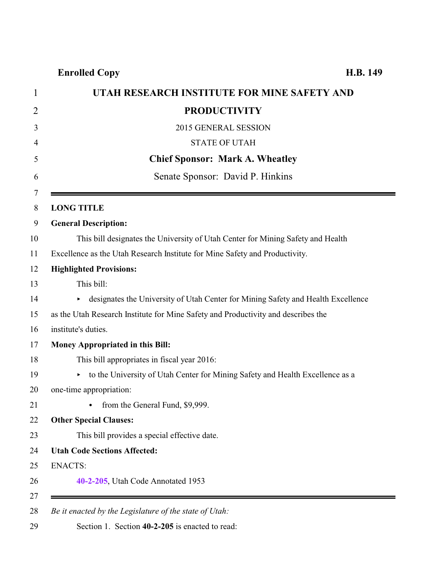## **Enrolled Copy H.B. 149**

<span id="page-0-0"></span>

| UTAH RESEARCH INSTITUTE FOR MINE SAFETY AND                                            |
|----------------------------------------------------------------------------------------|
| <b>PRODUCTIVITY</b>                                                                    |
| 2015 GENERAL SESSION                                                                   |
| <b>STATE OF UTAH</b>                                                                   |
| <b>Chief Sponsor: Mark A. Wheatley</b>                                                 |
| Senate Sponsor: David P. Hinkins                                                       |
| <b>LONG TITLE</b>                                                                      |
| <b>General Description:</b>                                                            |
| This bill designates the University of Utah Center for Mining Safety and Health        |
| Excellence as the Utah Research Institute for Mine Safety and Productivity.            |
| <b>Highlighted Provisions:</b>                                                         |
| This bill:                                                                             |
| designates the University of Utah Center for Mining Safety and Health Excellence<br>▶. |
| as the Utah Research Institute for Mine Safety and Productivity and describes the      |
| institute's duties.                                                                    |
| Money Appropriated in this Bill:                                                       |
| This bill appropriates in fiscal year 2016:                                            |
| • to the University of Utah Center for Mining Safety and Health Excellence as a        |
| one-time appropriation:                                                                |
| from the General Fund, \$9,999.                                                        |
| <b>Other Special Clauses:</b>                                                          |
| This bill provides a special effective date.                                           |
| <b>Utah Code Sections Affected:</b>                                                    |
| <b>ENACTS:</b>                                                                         |
| 40-2-205, Utah Code Annotated 1953                                                     |